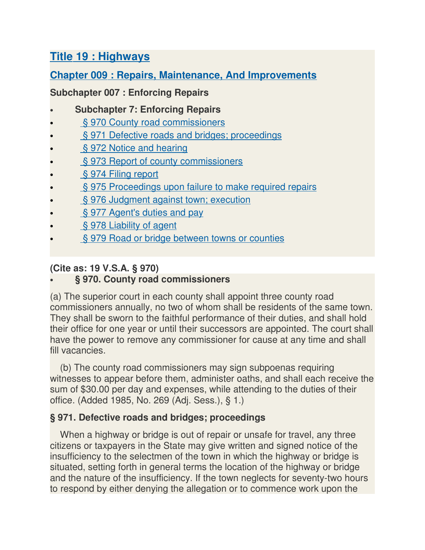# **Title 19 : Highways**

# **Chapter 009 : Repairs, Maintenance, And Improvements**

# **Subchapter 007 : Enforcing Repairs**

- **Subchapter 7: Enforcing Repairs**
- § 970 County road commissioners
- § 971 Defective roads and bridges; proceedings
- § 972 Notice and hearing
- § 973 Report of county commissioners
- § 974 Filing report
- § 975 Proceedings upon failure to make required repairs
- § 976 Judgment against town; execution
- § 977 Agent's duties and pay
- § 978 Liability of agent
- § 979 Road or bridge between towns or counties

# **(Cite as: 19 V.S.A. § 970)**

### • **§ 970. County road commissioners**

(a) The superior court in each county shall appoint three county road commissioners annually, no two of whom shall be residents of the same town. They shall be sworn to the faithful performance of their duties, and shall hold their office for one year or until their successors are appointed. The court shall have the power to remove any commissioner for cause at any time and shall fill vacancies.

(b) The county road commissioners may sign subpoenas requiring witnesses to appear before them, administer oaths, and shall each receive the sum of \$30.00 per day and expenses, while attending to the duties of their office. (Added 1985, No. 269 (Adj. Sess.), § 1.)

# **§ 971. Defective roads and bridges; proceedings**

When a highway or bridge is out of repair or unsafe for travel, any three citizens or taxpayers in the State may give written and signed notice of the insufficiency to the selectmen of the town in which the highway or bridge is situated, setting forth in general terms the location of the highway or bridge and the nature of the insufficiency. If the town neglects for seventy-two hours to respond by either denying the allegation or to commence work upon the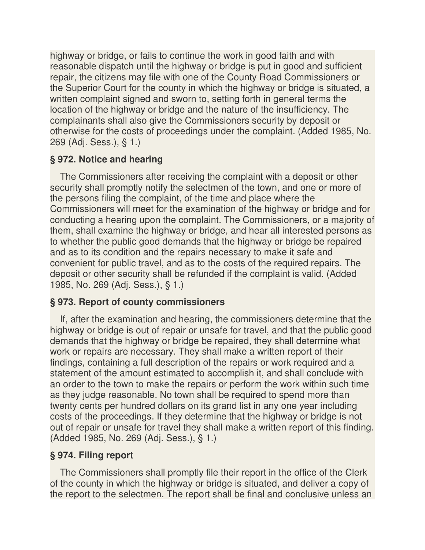highway or bridge, or fails to continue the work in good faith and with reasonable dispatch until the highway or bridge is put in good and sufficient repair, the citizens may file with one of the County Road Commissioners or the Superior Court for the county in which the highway or bridge is situated, a written complaint signed and sworn to, setting forth in general terms the location of the highway or bridge and the nature of the insufficiency. The complainants shall also give the Commissioners security by deposit or otherwise for the costs of proceedings under the complaint. (Added 1985, No. 269 (Adj. Sess.), § 1.)

# **§ 972. Notice and hearing**

The Commissioners after receiving the complaint with a deposit or other security shall promptly notify the selectmen of the town, and one or more of the persons filing the complaint, of the time and place where the Commissioners will meet for the examination of the highway or bridge and for conducting a hearing upon the complaint. The Commissioners, or a majority of them, shall examine the highway or bridge, and hear all interested persons as to whether the public good demands that the highway or bridge be repaired and as to its condition and the repairs necessary to make it safe and convenient for public travel, and as to the costs of the required repairs. The deposit or other security shall be refunded if the complaint is valid. (Added 1985, No. 269 (Adj. Sess.), § 1.)

#### **§ 973. Report of county commissioners**

If, after the examination and hearing, the commissioners determine that the highway or bridge is out of repair or unsafe for travel, and that the public good demands that the highway or bridge be repaired, they shall determine what work or repairs are necessary. They shall make a written report of their findings, containing a full description of the repairs or work required and a statement of the amount estimated to accomplish it, and shall conclude with an order to the town to make the repairs or perform the work within such time as they judge reasonable. No town shall be required to spend more than twenty cents per hundred dollars on its grand list in any one year including costs of the proceedings. If they determine that the highway or bridge is not out of repair or unsafe for travel they shall make a written report of this finding. (Added 1985, No. 269 (Adj. Sess.), § 1.)

### **§ 974. Filing report**

The Commissioners shall promptly file their report in the office of the Clerk of the county in which the highway or bridge is situated, and deliver a copy of the report to the selectmen. The report shall be final and conclusive unless an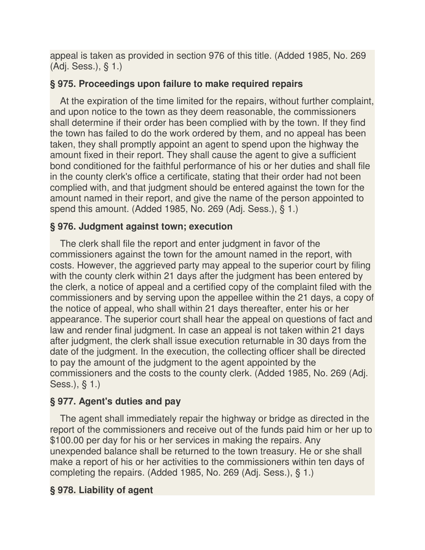appeal is taken as provided in section 976 of this title. (Added 1985, No. 269 (Adj. Sess.), § 1.)

### **§ 975. Proceedings upon failure to make required repairs**

At the expiration of the time limited for the repairs, without further complaint, and upon notice to the town as they deem reasonable, the commissioners shall determine if their order has been complied with by the town. If they find the town has failed to do the work ordered by them, and no appeal has been taken, they shall promptly appoint an agent to spend upon the highway the amount fixed in their report. They shall cause the agent to give a sufficient bond conditioned for the faithful performance of his or her duties and shall file in the county clerk's office a certificate, stating that their order had not been complied with, and that judgment should be entered against the town for the amount named in their report, and give the name of the person appointed to spend this amount. (Added 1985, No. 269 (Adj. Sess.), § 1.)

#### **§ 976. Judgment against town; execution**

The clerk shall file the report and enter judgment in favor of the commissioners against the town for the amount named in the report, with costs. However, the aggrieved party may appeal to the superior court by filing with the county clerk within 21 days after the judgment has been entered by the clerk, a notice of appeal and a certified copy of the complaint filed with the commissioners and by serving upon the appellee within the 21 days, a copy of the notice of appeal, who shall within 21 days thereafter, enter his or her appearance. The superior court shall hear the appeal on questions of fact and law and render final judgment. In case an appeal is not taken within 21 days after judgment, the clerk shall issue execution returnable in 30 days from the date of the judgment. In the execution, the collecting officer shall be directed to pay the amount of the judgment to the agent appointed by the commissioners and the costs to the county clerk. (Added 1985, No. 269 (Adj. Sess.), § 1.)

#### **§ 977. Agent's duties and pay**

The agent shall immediately repair the highway or bridge as directed in the report of the commissioners and receive out of the funds paid him or her up to \$100.00 per day for his or her services in making the repairs. Any unexpended balance shall be returned to the town treasury. He or she shall make a report of his or her activities to the commissioners within ten days of completing the repairs. (Added 1985, No. 269 (Adj. Sess.), § 1.)

#### **§ 978. Liability of agent**